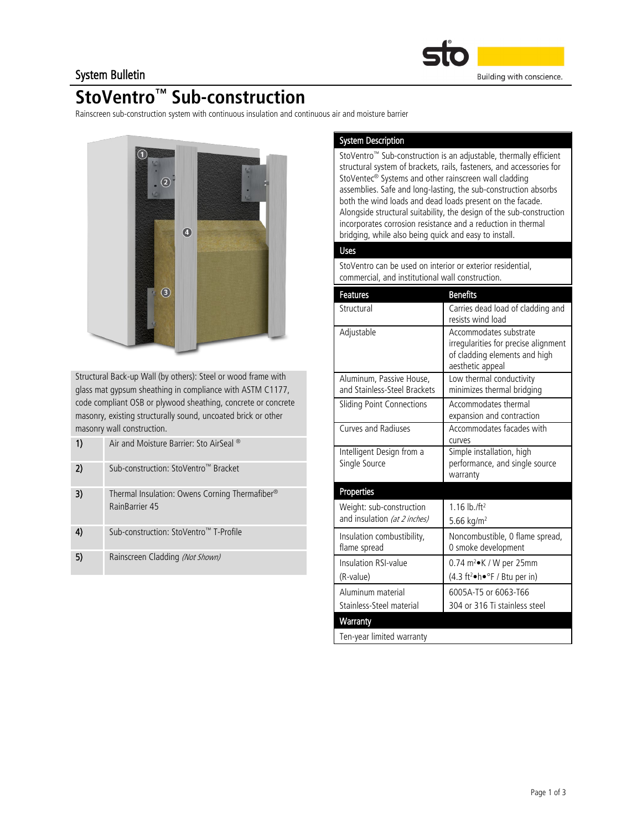

### System Bulletin

# **StoVentro™ Sub-construction**

Rainscreen sub-construction system with continuous insulation and continuous air and moisture barrier



Structural Back-up Wall (by others): Steel or wood frame with glass mat gypsum sheathing in compliance with ASTM C1177, code compliant OSB or plywood sheathing, concrete or concrete masonry, existing structurally sound, uncoated brick or other masonry wall construction.

| 1) | Air and Moisture Barrier: Sto AirSeal ®                                      |
|----|------------------------------------------------------------------------------|
| 2) | Sub-construction: StoVentro™ Bracket                                         |
| 3) | Thermal Insulation: Owens Corning Thermafiber <sup>®</sup><br>RainBarrier 45 |
|    | Sub-construction: StoVentro™ T-Profile                                       |
| 5) | Rainscreen Cladding (Not Shown)                                              |

### System Description

StoVentro™ Sub-construction is an adjustable, thermally efficient structural system of brackets, rails, fasteners, and accessories for StoVentec<sup>®</sup> Systems and other rainscreen wall cladding assemblies. Safe and long-lasting, the sub-construction absorbs both the wind loads and dead loads present on the facade. Alongside structural suitability, the design of the sub-construction incorporates corrosion resistance and a reduction in thermal bridging, while also being quick and easy to install.

### Uses

StoVentro can be used on interior or exterior residential, commercial, and institutional wall construction.

| <b>Features</b>                                          | <b>Benefits</b>                                                                                                     |
|----------------------------------------------------------|---------------------------------------------------------------------------------------------------------------------|
| Structural                                               | Carries dead load of cladding and<br>resists wind load                                                              |
| Adjustable                                               | Accommodates substrate<br>irregularities for precise alignment<br>of cladding elements and high<br>aesthetic appeal |
| Aluminum, Passive House,<br>and Stainless-Steel Brackets | Low thermal conductivity<br>minimizes thermal bridging                                                              |
| Sliding Point Connections                                | Accommodates thermal<br>expansion and contraction                                                                   |
| <b>Curves and Radiuses</b>                               | Accommodates facades with<br>curves                                                                                 |
| Intelligent Design from a<br>Single Source               | Simple installation, high<br>performance, and single source<br>warranty                                             |
| Properties                                               |                                                                                                                     |
| Weight: sub-construction<br>and insulation (at 2 inches) | 1.16 $\ln$ /ft <sup>2</sup><br>5.66 kg/m <sup>2</sup>                                                               |
| Insulation combustibility,<br>flame spread               | Noncombustible, 0 flame spread,<br>0 smoke development                                                              |
| Insulation RSI-value<br>(R-value)                        | 0.74 $m^2$ K / W per 25mm<br>(4.3 ft <sup>2</sup> ·h·°F / Btu per in)                                               |
| Aluminum material<br>Stainless-Steel material            | 6005A-T5 or 6063-T66<br>304 or 316 Ti stainless steel                                                               |
| Warranty                                                 |                                                                                                                     |
| Ten-year limited warranty                                |                                                                                                                     |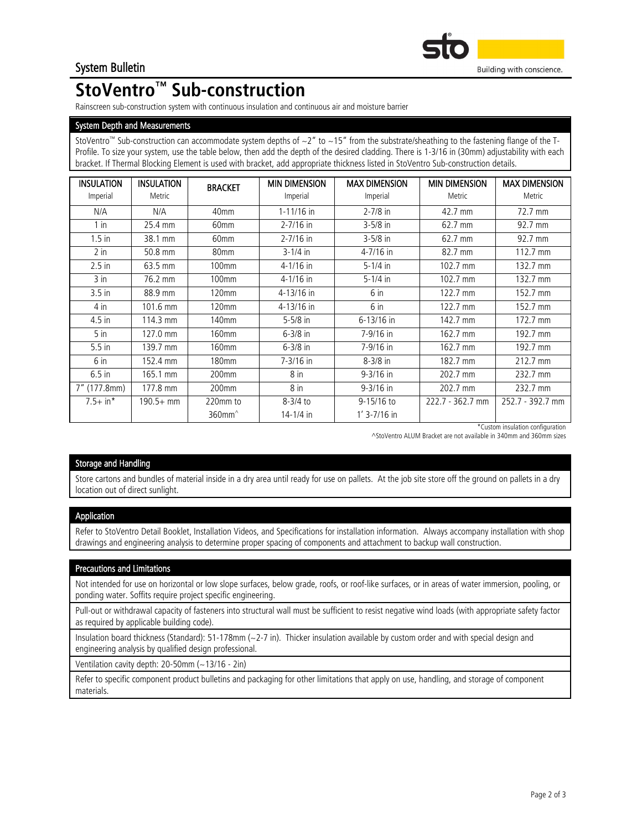

# **StoVentro™ Sub-construction**

Rainscreen sub-construction system with continuous insulation and continuous air and moisture barrier

#### System Depth and Measurements

StoVentro™ Sub-construction can accommodate system depths of  $\sim$ 2" to  $\sim$  15" from the substrate/sheathing to the fastening flange of the T-Profile. To size your system, use the table below, then add the depth of the desired cladding. There is 1-3/16 in (30mm) adjustability with each bracket. If Thermal Blocking Element is used with bracket, add appropriate thickness listed in StoVentro Sub-construction details.

| <b>INSULATION</b><br>Imperial | <b>INSULATION</b><br>Metric | <b>BRACKET</b>                               | <b>MIN DIMENSION</b><br>Imperial | <b>MAX DIMENSION</b><br>Imperial | <b>MIN DIMENSION</b><br>Metric | <b>MAX DIMENSION</b><br>Metric |
|-------------------------------|-----------------------------|----------------------------------------------|----------------------------------|----------------------------------|--------------------------------|--------------------------------|
| N/A                           | N/A                         | 40mm                                         | $1 - 11/16$ in                   | $2 - 7/8$ in                     | 42.7 mm                        | 72.7 mm                        |
| $1$ in                        | 25.4 mm                     | 60mm                                         | $2 - 7/16$ in                    | $3 - 5/8$ in                     | 62.7 mm                        | 92.7 mm                        |
| $1.5$ in                      | 38.1 mm                     | 60mm                                         | $2 - 7/16$ in                    | $3 - 5/8$ in                     | 62.7 mm                        | 92.7 mm                        |
| $2$ in                        | 50.8 mm                     | 80mm                                         | $3 - 1/4$ in                     | 4-7/16 in                        | 82.7 mm                        | 112.7 mm                       |
| $2.5$ in                      | 63.5 mm                     | 100mm                                        | $4 - 1/16$ in                    | $5 - 1/4$ in                     | 102.7 mm                       | 132.7 mm                       |
| 3 in                          | 76.2 mm                     | 100mm                                        | $4 - 1/16$ in                    | $5 - 1/4$ in                     | 102.7 mm                       | 132.7 mm                       |
| $3.5$ in                      | 88.9 mm                     | 120mm                                        | 4-13/16 in                       | 6 in                             | 122.7 mm                       | 152.7 mm                       |
| 4 in                          | 101.6 mm                    | 120mm                                        | 4-13/16 in                       | 6 in                             | 122.7 mm                       | 152.7 mm                       |
| 4.5 in                        | 114.3 mm                    | 140mm                                        | $5 - 5/8$ in                     | 6-13/16 in                       | 142.7 mm                       | 172.7 mm                       |
| $5$ in                        | 127.0 mm                    | 160mm                                        | $6 - 3/8$ in                     | 7-9/16 in                        | 162.7 mm                       | 192.7 mm                       |
| $5.5$ in                      | 139.7 mm                    | 160mm                                        | $6 - 3/8$ in                     | 7-9/16 in                        | 162.7 mm                       | 192.7 mm                       |
| 6 in                          | 152.4 mm                    | <b>180mm</b>                                 | $7 - 3/16$ in                    | $8 - 3/8$ in                     | 182.7 mm                       | 212.7 mm                       |
| $6.5$ in                      | 165.1 mm                    | 200mm                                        | 8 in                             | $9 - 3/16$ in                    | 202.7 mm                       | 232.7 mm                       |
| 7" (177.8mm)                  | 177.8 mm                    | 200mm                                        | 8 in                             | $9 - 3/16$ in                    | 202.7 mm                       | 232.7 mm                       |
| $7.5 + in*$                   | $190.5 + mm$                | 220mm to                                     | $8 - 3/4$ to                     | 9-15/16 to                       | 222.7 - 362.7 mm               | 252.7 - 392.7 mm               |
|                               |                             | $360$ mm <sup><math>\textdegree</math></sup> | $14 - 1/4$ in                    | $1'$ 3-7/16 in                   |                                |                                |

\*Custom insulation configuration

^StoVentro ALUM Bracket are not available in 340mm and 360mm sizes

#### Storage and Handling

Store cartons and bundles of material inside in a dry area until ready for use on pallets. At the job site store off the ground on pallets in a dry location out of direct sunlight.

#### Application

Refer to StoVentro Detail Booklet, Installation Videos, and Specifications for installation information. Always accompany installation with shop drawings and engineering analysis to determine proper spacing of components and attachment to backup wall construction.

#### Precautions and Limitations

Not intended for use on horizontal or low slope surfaces, below grade, roofs, or roof-like surfaces, or in areas of water immersion, pooling, or ponding water. Soffits require project specific engineering.

Pull-out or withdrawal capacity of fasteners into structural wall must be sufficient to resist negative wind loads (with appropriate safety factor as required by applicable building code).

Insulation board thickness (Standard): 51-178mm (~2-7 in). Thicker insulation available by custom order and with special design and engineering analysis by qualified design professional.

Ventilation cavity depth: 20-50mm (~13/16 - 2in)

Refer to specific component product bulletins and packaging for other limitations that apply on use, handling, and storage of component materials.